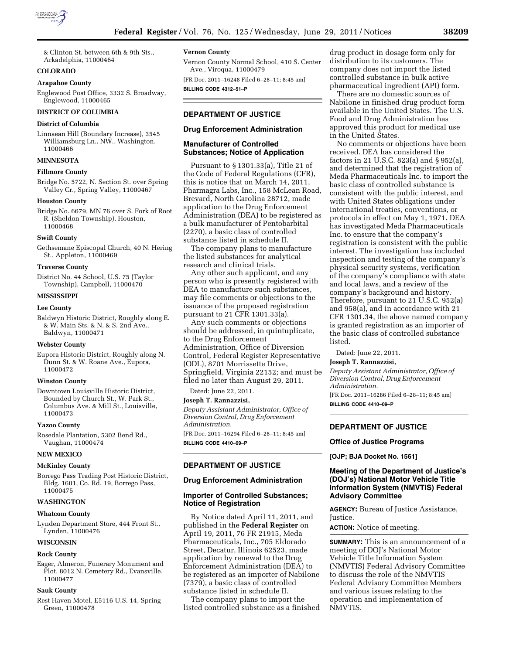

& Clinton St. between 6th & 9th Sts., Arkadelphia, 11000464

## **COLORADO**

## **Arapahoe County**

Englewood Post Office, 3332 S. Broadway, Englewood, 11000465

# **DISTRICT OF COLUMBIA**

# **District of Columbia**

Linnaean Hill (Boundary Increase), 3545 Williamsburg Ln., NW., Washington, 11000466

## **MINNESOTA**

# **Fillmore County**

Bridge No. 5722, N. Section St. over Spring Valley Cr., Spring Valley, 11000467

### **Houston County**

Bridge No. 6679, MN 76 over S. Fork of Root R. (Sheldon Township), Houston, 11000468

#### **Swift County**

Gethsemane Episcopal Church, 40 N. Hering St., Appleton, 11000469

## **Traverse County**

District No. 44 School, U.S. 75 (Taylor Township), Campbell, 11000470

### **MISSISSIPPI**

### **Lee County**

Baldwyn Historic District, Roughly along E. & W. Main Sts. & N. & S. 2nd Ave., Baldwyn, 11000471

### **Webster County**

Eupora Historic District, Roughly along N. Dunn St. & W. Roane Ave., Eupora, 11000472

### **Winston County**

Downtown Louisville Historic District, Bounded by Church St., W. Park St., Columbus Ave. & Mill St., Louisville, 11000473

#### **Yazoo County**

Rosedale Plantation, 5302 Bend Rd., Vaughan, 11000474

### **NEW MEXICO**

## **McKinley County**

Borrego Pass Trading Post Historic District, Bldg. 1601, Co. Rd. 19, Borrego Pass, 11000475

### **WASHINGTON**

## **Whatcom County**

Lynden Department Store, 444 Front St., Lynden, 11000476

### **WISCONSIN**

### **Rock County**

Eager, Almeron, Funerary Monument and Plot, 8012 N. Cemetery Rd., Evansville, 11000477

### **Sauk County**

Rest Haven Motel, E5116 U.S. 14, Spring Green, 11000478

# **Vernon County**

Vernon County Normal School, 410 S. Center Ave., Viroqua, 11000479

[FR Doc. 2011–16248 Filed 6–28–11; 8:45 am] **BILLING CODE 4312–51–P** 

# **DEPARTMENT OF JUSTICE**

## **Drug Enforcement Administration**

## **Manufacturer of Controlled Substances; Notice of Application**

Pursuant to § 1301.33(a), Title 21 of the Code of Federal Regulations (CFR), this is notice that on March 14, 2011, Pharmagra Labs, Inc., 158 McLean Road, Brevard, North Carolina 28712, made application to the Drug Enforcement Administration (DEA) to be registered as a bulk manufacturer of Pentobarbital (2270), a basic class of controlled substance listed in schedule II.

The company plans to manufacture the listed substances for analytical research and clinical trials.

Any other such applicant, and any person who is presently registered with DEA to manufacture such substances, may file comments or objections to the issuance of the proposed registration pursuant to 21 CFR 1301.33(a).

Any such comments or objections should be addressed, in quintuplicate, to the Drug Enforcement Administration, Office of Diversion Control, Federal Register Representative (ODL), 8701 Morrissette Drive, Springfield, Virginia 22152; and must be filed no later than August 29, 2011.

Dated: June 22, 2011.

# **Joseph T. Rannazzisi,**

*Deputy Assistant Administrator, Office of Diversion Control, Drug Enforcement Administration.* 

[FR Doc. 2011–16294 Filed 6–28–11; 8:45 am] **BILLING CODE 4410–09–P** 

## **DEPARTMENT OF JUSTICE**

## **Drug Enforcement Administration**

# **Importer of Controlled Substances; Notice of Registration**

By Notice dated April 11, 2011, and published in the **Federal Register** on April 19, 2011, 76 FR 21915, Meda Pharmaceuticals, Inc., 705 Eldorado Street, Decatur, Illinois 62523, made application by renewal to the Drug Enforcement Administration (DEA) to be registered as an importer of Nabilone (7379), a basic class of controlled substance listed in schedule II.

The company plans to import the listed controlled substance as a finished

drug product in dosage form only for distribution to its customers. The company does not import the listed controlled substance in bulk active pharmaceutical ingredient (API) form.

There are no domestic sources of Nabilone in finished drug product form available in the United States. The U.S. Food and Drug Administration has approved this product for medical use in the United States.

No comments or objections have been received. DEA has considered the factors in 21 U.S.C. 823(a) and § 952(a), and determined that the registration of Meda Pharmaceuticals Inc. to import the basic class of controlled substance is consistent with the public interest, and with United States obligations under international treaties, conventions, or protocols in effect on May 1, 1971. DEA has investigated Meda Pharmaceuticals Inc. to ensure that the company's registration is consistent with the public interest. The investigation has included inspection and testing of the company's physical security systems, verification of the company's compliance with state and local laws, and a review of the company's background and history. Therefore, pursuant to 21 U.S.C. 952(a) and 958(a), and in accordance with 21 CFR 1301.34, the above named company is granted registration as an importer of the basic class of controlled substance listed.

Dated: June 22, 2011.

# **Joseph T. Rannazzisi,**

*Deputy Assistant Administrator, Office of Diversion Control, Drug Enforcement Administration.*  [FR Doc. 2011–16286 Filed 6–28–11; 8:45 am]

**BILLING CODE 4410–09–P** 

# **DEPARTMENT OF JUSTICE**

## **Office of Justice Programs**

**[OJP; BJA Docket No. 1561]** 

# **Meeting of the Department of Justice's (DOJ's) National Motor Vehicle Title Information System (NMVTIS) Federal Advisory Committee**

**AGENCY:** Bureau of Justice Assistance, Justice.

**ACTION:** Notice of meeting.

**SUMMARY:** This is an announcement of a meeting of DOJ's National Motor Vehicle Title Information System (NMVTIS) Federal Advisory Committee to discuss the role of the NMVTIS Federal Advisory Committee Members and various issues relating to the operation and implementation of NMVTIS.